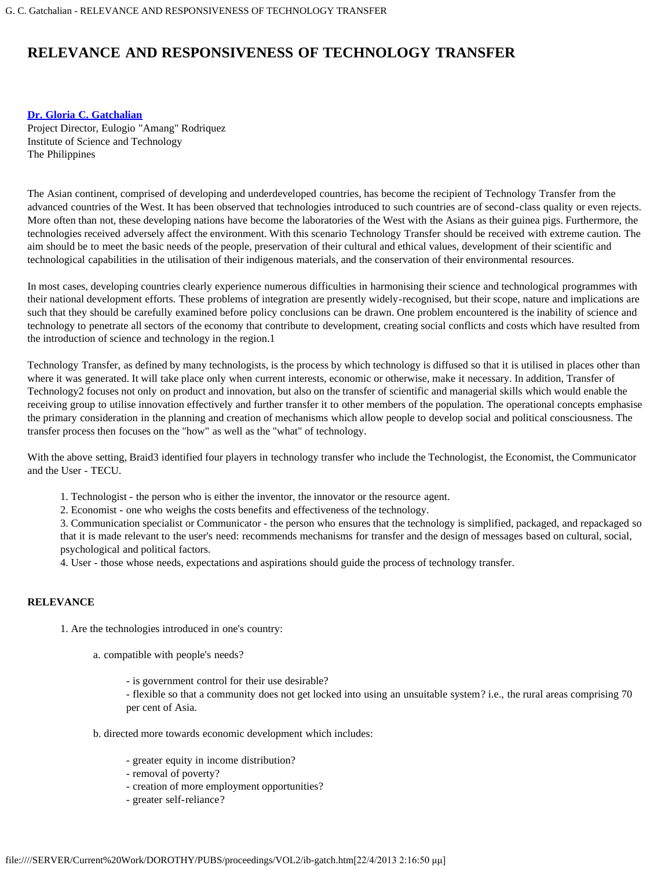# **RELEVANCE AND RESPONSIVENESS OF TECHNOLOGY TRANSFER**

# **[Dr. Gloria C. Gatchalian](#page-2-0)**

Project Director, Eulogio "Amang" Rodriquez Institute of Science and Technology The Philippines

The Asian continent, comprised of developing and underdeveloped countries, has become the recipient of Technology Transfer from the advanced countries of the West. It has been observed that technologies introduced to such countries are of second-class quality or even rejects. More often than not, these developing nations have become the laboratories of the West with the Asians as their guinea pigs. Furthermore, the technologies received adversely affect the environment. With this scenario Technology Transfer should be received with extreme caution. The aim should be to meet the basic needs of the people, preservation of their cultural and ethical values, development of their scientific and technological capabilities in the utilisation of their indigenous materials, and the conservation of their environmental resources.

In most cases, developing countries clearly experience numerous difficulties in harmonising their science and technological programmes with their national development efforts. These problems of integration are presently widely-recognised, but their scope, nature and implications are such that they should be carefully examined before policy conclusions can be drawn. One problem encountered is the inability of science and technology to penetrate all sectors of the economy that contribute to development, creating social conflicts and costs which have resulted from the introduction of science and technology in the region.1

Technology Transfer, as defined by many technologists, is the process by which technology is diffused so that it is utilised in places other than where it was generated. It will take place only when current interests, economic or otherwise, make it necessary. In addition, Transfer of Technology2 focuses not only on product and innovation, but also on the transfer of scientific and managerial skills which would enable the receiving group to utilise innovation effectively and further transfer it to other members of the population. The operational concepts emphasise the primary consideration in the planning and creation of mechanisms which allow people to develop social and political consciousness. The transfer process then focuses on the "how" as well as the "what" of technology.

With the above setting, Braid3 identified four players in technology transfer who include the Technologist, the Economist, the Communicator and the User - TECU.

- 1. Technologist the person who is either the inventor, the innovator or the resource agent.
- 2. Economist one who weighs the costs benefits and effectiveness of the technology.

3. Communication specialist or Communicator - the person who ensures that the technology is simplified, packaged, and repackaged so that it is made relevant to the user's need: recommends mechanisms for transfer and the design of messages based on cultural, social, psychological and political factors.

4. User - those whose needs, expectations and aspirations should guide the process of technology transfer.

### **RELEVANCE**

1. Are the technologies introduced in one's country:

- a. compatible with people's needs?
	- is government control for their use desirable?

- flexible so that a community does not get locked into using an unsuitable system? i.e., the rural areas comprising 70 per cent of Asia.

- b. directed more towards economic development which includes:
	- greater equity in income distribution?
	- removal of poverty?
	- creation of more employment opportunities?
	- greater self-reliance?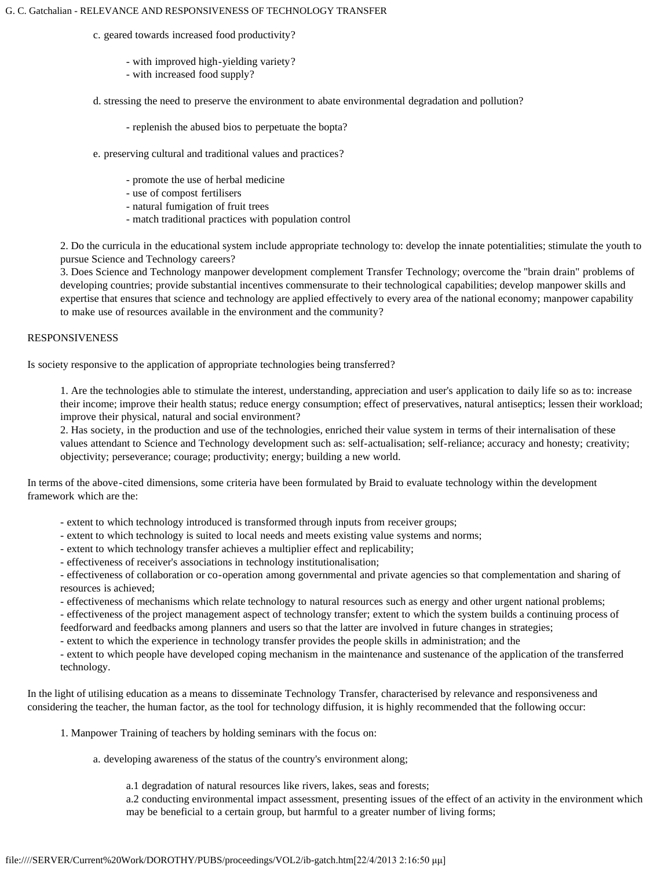#### G. C. Gatchalian - RELEVANCE AND RESPONSIVENESS OF TECHNOLOGY TRANSFER

- c. geared towards increased food productivity?
	- with improved high-yielding variety?
	- with increased food supply?
- d. stressing the need to preserve the environment to abate environmental degradation and pollution?
	- replenish the abused bios to perpetuate the bopta?
- e. preserving cultural and traditional values and practices?
	- promote the use of herbal medicine
	- use of compost fertilisers
	- natural fumigation of fruit trees
	- match traditional practices with population control

2. Do the curricula in the educational system include appropriate technology to: develop the innate potentialities; stimulate the youth to pursue Science and Technology careers?

3. Does Science and Technology manpower development complement Transfer Technology; overcome the "brain drain" problems of developing countries; provide substantial incentives commensurate to their technological capabilities; develop manpower skills and expertise that ensures that science and technology are applied effectively to every area of the national economy; manpower capability to make use of resources available in the environment and the community?

# RESPONSIVENESS

Is society responsive to the application of appropriate technologies being transferred?

1. Are the technologies able to stimulate the interest, understanding, appreciation and user's application to daily life so as to: increase their income; improve their health status; reduce energy consumption; effect of preservatives, natural antiseptics; lessen their workload; improve their physical, natural and social environment?

2. Has society, in the production and use of the technologies, enriched their value system in terms of their internalisation of these values attendant to Science and Technology development such as: self-actualisation; self-reliance; accuracy and honesty; creativity; objectivity; perseverance; courage; productivity; energy; building a new world.

In terms of the above-cited dimensions, some criteria have been formulated by Braid to evaluate technology within the development framework which are the:

- extent to which technology introduced is transformed through inputs from receiver groups;
- extent to which technology is suited to local needs and meets existing value systems and norms;
- extent to which technology transfer achieves a multiplier effect and replicability;
- effectiveness of receiver's associations in technology institutionalisation;

- effectiveness of collaboration or co-operation among governmental and private agencies so that complementation and sharing of resources is achieved;

- effectiveness of mechanisms which relate technology to natural resources such as energy and other urgent national problems;

- effectiveness of the project management aspect of technology transfer; extent to which the system builds a continuing process of feedforward and feedbacks among planners and users so that the latter are involved in future changes in strategies;

- extent to which the experience in technology transfer provides the people skills in administration; and the

- extent to which people have developed coping mechanism in the maintenance and sustenance of the application of the transferred technology.

In the light of utilising education as a means to disseminate Technology Transfer, characterised by relevance and responsiveness and considering the teacher, the human factor, as the tool for technology diffusion, it is highly recommended that the following occur:

1. Manpower Training of teachers by holding seminars with the focus on:

a. developing awareness of the status of the country's environment along;

a.1 degradation of natural resources like rivers, lakes, seas and forests;

a.2 conducting environmental impact assessment, presenting issues of the effect of an activity in the environment which may be beneficial to a certain group, but harmful to a greater number of living forms;